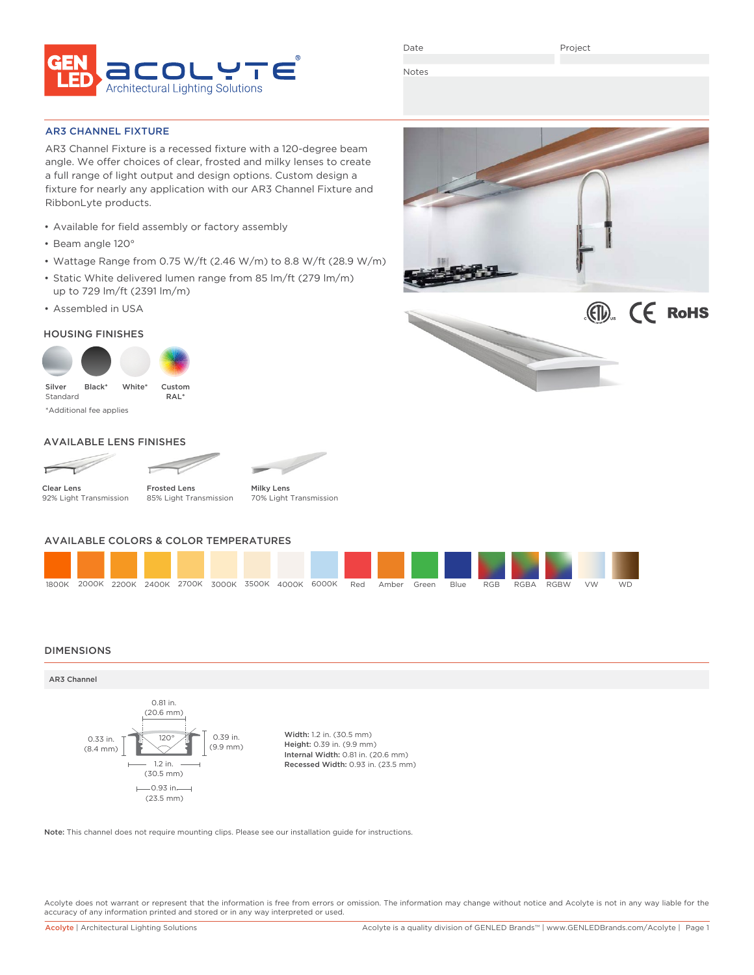

Date

Project

Notes

AR3 CHANNEL FIXTURE

AR3 Channel Fixture is a recessed fixture with a 120-degree beam angle. We offer choices of clear, frosted and milky lenses to create a full range of light output and design options. Custom design a fixture for nearly any application with our AR3 Channel Fixture and RibbonLyte products.

- Available for field assembly or factory assembly
- Beam angle 120°
- Wattage Range from 0.75 W/ft (2.46 W/m) to 8.8 W/ft (28.9 W/m)
- Static White delivered lumen range from 85 lm/ft (279 lm/m) up to 729 lm/ft (2391 lm/m)
- Assembled in USA

### HOUSING FINISHES



\*Additional fee applies

### AVAILABLE LENS FINISHES





Clear Lens 92% Light Transmission

Frosted Lens 85% Light Transmission



AVAILABLE COLORS & COLOR TEMPERATURES

1800K 2000K 2200K 2400K 2700K 3000K 3500K 4000K 6000K Red Amber Green Blue RGB RGBA RGBW VW WD

### DIMENSIONS



Note: This channel does not require mounting clips. Please see our installation guide for instructions.

Acolyte does not warrant or represent that the information is free from errors or omission. The information may change without notice and Acolyte is not in any way liable for the accuracy of any information printed and stored or in any way interpreted or used.

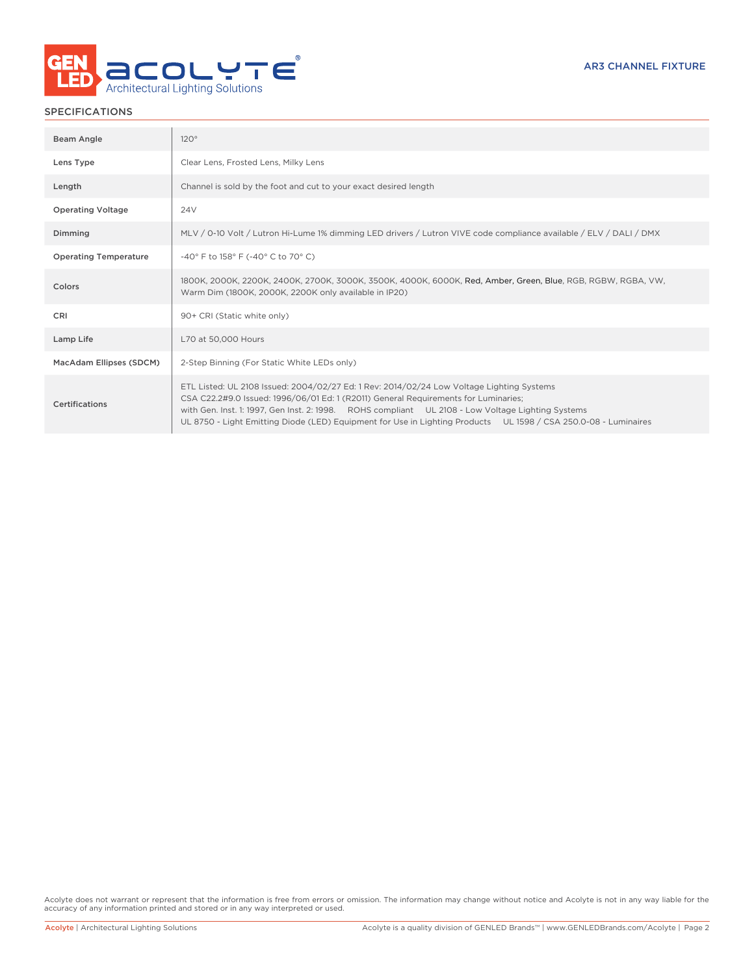

### SPECIFICATIONS

| Beam Angle                   | 120°                                                                                                                                                                                                                                                                                                                                                                                                     |
|------------------------------|----------------------------------------------------------------------------------------------------------------------------------------------------------------------------------------------------------------------------------------------------------------------------------------------------------------------------------------------------------------------------------------------------------|
| Lens Type                    | Clear Lens, Frosted Lens, Milky Lens                                                                                                                                                                                                                                                                                                                                                                     |
| Length                       | Channel is sold by the foot and cut to your exact desired length                                                                                                                                                                                                                                                                                                                                         |
| <b>Operating Voltage</b>     | 24V                                                                                                                                                                                                                                                                                                                                                                                                      |
| Dimming                      | MLV / 0-10 Volt / Lutron Hi-Lume 1% dimming LED drivers / Lutron VIVE code compliance available / ELV / DALI / DMX                                                                                                                                                                                                                                                                                       |
| <b>Operating Temperature</b> | -40° F to 158° F (-40° C to 70° C)                                                                                                                                                                                                                                                                                                                                                                       |
| Colors                       | 1800K, 2000K, 2200K, 2400K, 2700K, 3000K, 3500K, 4000K, 6000K, Red, Amber, Green, Blue, RGB, RGBW, RGBA, VW,<br>Warm Dim (1800K, 2000K, 2200K only available in IP20)                                                                                                                                                                                                                                    |
| CRI                          | 90+ CRI (Static white only)                                                                                                                                                                                                                                                                                                                                                                              |
| Lamp Life                    | L70 at 50,000 Hours                                                                                                                                                                                                                                                                                                                                                                                      |
| MacAdam Ellipses (SDCM)      | 2-Step Binning (For Static White LEDs only)                                                                                                                                                                                                                                                                                                                                                              |
| Certifications               | ETL Listed: UL 2108 Issued: 2004/02/27 Ed: 1 Rev: 2014/02/24 Low Voltage Lighting Systems<br>CSA C22.2#9.0 Issued: 1996/06/01 Ed: 1 (R2011) General Requirements for Luminaries;<br>with Gen. Inst. 1: 1997, Gen Inst. 2: 1998. ROHS compliant UL 2108 - Low Voltage Lighting Systems<br>UL 8750 - Light Emitting Diode (LED) Equipment for Use in Lighting Products UL 1598 / CSA 250.0-08 - Luminaires |

Acolyte does not warrant or represent that the information is free from errors or omission. The information may change without notice and Acolyte is not in any way liable for the accuracy of any information printed and stored or in any way interpreted or used.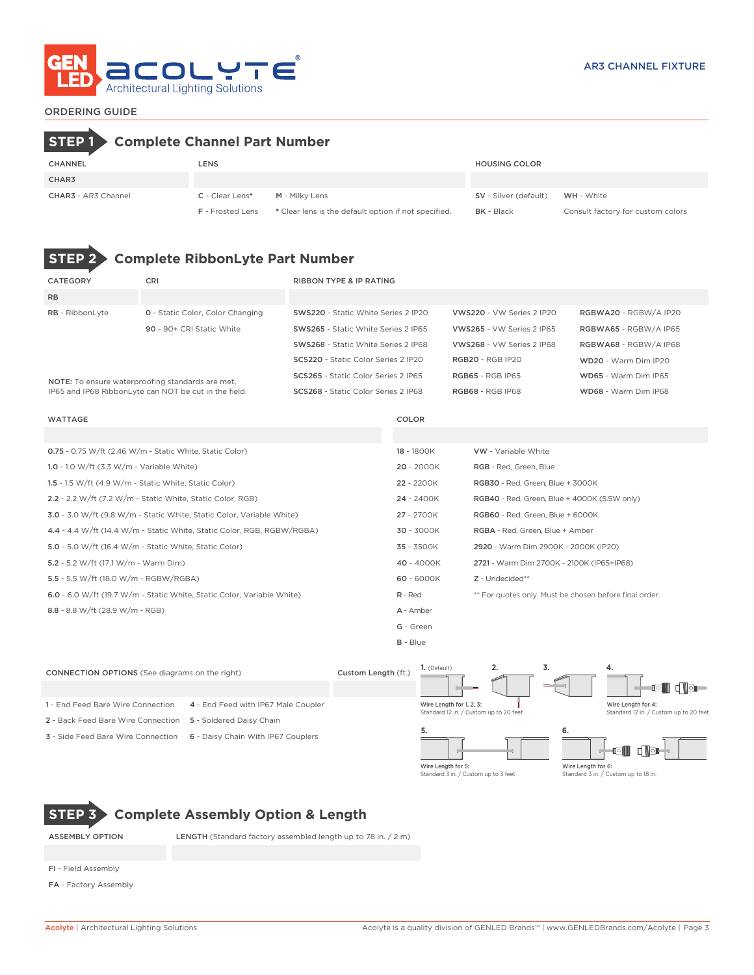

### ORDERING GUIDE

# **STEP 1 Complete Channel Part Number**

| <b>CHANNEL</b>             | LENS                    |                                                      | <b>HOUSING COLOR</b>         |                                   |
|----------------------------|-------------------------|------------------------------------------------------|------------------------------|-----------------------------------|
| CHAR3                      |                         |                                                      |                              |                                   |
| <b>CHAR3</b> - AR3 Channel | C - Clear Lens*         | M - Milky Lens                                       | <b>SV</b> - Silver (default) | <b>WH</b> - White                 |
|                            | <b>F</b> - Frosted Lens | * Clear lens is the default option if not specified. | <b>BK</b> - Black            | Consult factory for custom colors |

# **STEP 2 Complete RibbonLyte Part Number**

| CATEGORY                                  | CRI                                                                    | <b>RIBBON TYPE &amp; IP RATING</b>  |            |                                                        |                       |  |  |  |
|-------------------------------------------|------------------------------------------------------------------------|-------------------------------------|------------|--------------------------------------------------------|-----------------------|--|--|--|
| <b>RB</b>                                 |                                                                        |                                     |            |                                                        |                       |  |  |  |
| RB - RibbonLyte                           | <b>0</b> - Static Color, Color Changing                                | SWS220 - Static White Series 2 IP20 |            | VWS220 - VW Series 2 IP20                              | RGBWA20 - RGBW/A IP20 |  |  |  |
|                                           | 90 - 90+ CRI Static White                                              | SWS265 - Static White Series 2 IP65 |            | VWS265 - VW Series 2 IP65                              | RGBWA65 - RGBW/A IP65 |  |  |  |
|                                           |                                                                        | SWS268 - Static White Series 2 IP68 |            | VWS268 - VW Series 2 IP68                              | RGBWA68 - RGBW/A IP68 |  |  |  |
|                                           |                                                                        | SCS220 - Static Color Series 2 IP20 |            | <b>RGB20 - RGB IP20</b>                                | WD20 - Warm Dim IP20  |  |  |  |
|                                           | NOTE: To ensure waterproofing standards are met,                       | SCS265 - Static Color Series 2 IP65 |            | <b>RGB65 - RGB IP65</b>                                | WD65 - Warm Dim IP65  |  |  |  |
|                                           | IP65 and IP68 RibbonLyte can NOT be cut in the field.                  | SCS268 - Static Color Series 2 IP68 |            | <b>RGB68 - RGB IP68</b>                                | WD68 - Warm Dim IP68  |  |  |  |
|                                           |                                                                        |                                     |            |                                                        |                       |  |  |  |
| <b>WATTAGE</b>                            |                                                                        |                                     | COLOR      |                                                        |                       |  |  |  |
|                                           |                                                                        |                                     |            |                                                        |                       |  |  |  |
|                                           | 0.75 - 0.75 W/ft (2.46 W/m - Static White, Static Color)               |                                     | 18 - 1800K | VW - Variable White                                    |                       |  |  |  |
| 1.0 - 1.0 W/ft (3.3 W/m - Variable White) |                                                                        |                                     | 20 - 2000K | RGB - Red, Green, Blue                                 |                       |  |  |  |
|                                           | 1.5 - 1.5 W/ft (4.9 W/m - Static White, Static Color)                  |                                     | 22 - 2200K | RGB30 - Red, Green, Blue + 3000K                       |                       |  |  |  |
|                                           | 2.2 - 2.2 W/ft (7.2 W/m - Static White, Static Color, RGB)             |                                     | 24 - 2400K | <b>RGB40</b> - Red, Green, Blue + 4000K (5.5W only)    |                       |  |  |  |
|                                           | 3.0 - 3.0 W/ft (9.8 W/m - Static White, Static Color, Variable White)  |                                     | 27 - 2700K | RGB60 - Red, Green, Blue + 6000K                       |                       |  |  |  |
|                                           | 4.4 - 4.4 W/ft (14.4 W/m - Static White, Static Color, RGB, RGBW/RGBA) |                                     | 30 - 3000K | RGBA - Red, Green, Blue + Amber                        |                       |  |  |  |
|                                           | 5.0 - 5.0 W/ft (16.4 W/m - Static White, Static Color)                 |                                     | 35 - 3500K | 2920 - Warm Dim 2900K - 2000K (IP20)                   |                       |  |  |  |
| 5.2 - 5.2 W/ft (17.1 W/m - Warm Dim)      |                                                                        |                                     | 40 - 4000K | 2721 - Warm Dim 2700K - 2100K (IP65+IP68)              |                       |  |  |  |
| 5.5 - 5.5 W/ft (18.0 W/m - RGBW/RGBA)     |                                                                        |                                     | 60 - 6000K | Z - Undecided**                                        |                       |  |  |  |
|                                           | 6.0 - 6.0 W/ft (19.7 W/m - Static White, Static Color, Variable White) |                                     | $R - Red$  | ** For quotes only. Must be chosen before final order. |                       |  |  |  |
| 8.8 - 8.8 W/ft (28.9 W/m - RGB)           |                                                                        |                                     | A - Amber  |                                                        |                       |  |  |  |
|                                           |                                                                        |                                     | G - Green  |                                                        |                       |  |  |  |
|                                           |                                                                        |                                     | $B - Blue$ |                                                        |                       |  |  |  |



# **STEP 3 Complete Assembly Option & Length**

ASSEMBLY OPTION LENGTH (Standard factory assembled length up to 78 in. / 2 m)

- FI Field Assembly
- FA Factory Assembly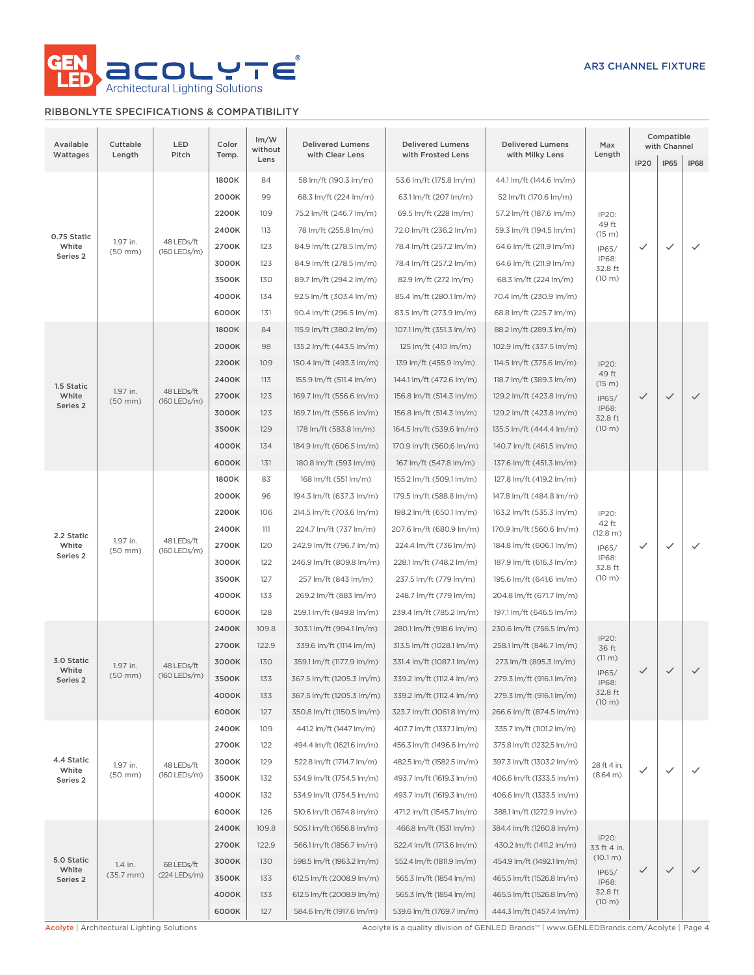

## RIBBONLYTE SPECIFICATIONS & COMPATIBILITY

| Available<br>Wattages        | Cuttable<br>Length       | LED<br>Pitch               | Color<br>Temp.                                                                                | Im/W<br>without<br>Lens                        | <b>Delivered Lumens</b><br>with Clear Lens | <b>Delivered Lumens</b><br>with Frosted Lens | <b>Delivered Lumens</b><br>with Milky Lens | Max<br>Length           |                         | Compatible<br>with Channel |                          |                          |              |  |  |  |  |  |  |  |  |       |     |                           |                          |                           |                  |  |  |  |
|------------------------------|--------------------------|----------------------------|-----------------------------------------------------------------------------------------------|------------------------------------------------|--------------------------------------------|----------------------------------------------|--------------------------------------------|-------------------------|-------------------------|----------------------------|--------------------------|--------------------------|--------------|--|--|--|--|--|--|--|--|-------|-----|---------------------------|--------------------------|---------------------------|------------------|--|--|--|
|                              |                          |                            |                                                                                               |                                                |                                            |                                              |                                            |                         | <b>IP20</b>             | <b>IP65</b>                | <b>IP68</b>              |                          |              |  |  |  |  |  |  |  |  |       |     |                           |                          |                           |                  |  |  |  |
|                              |                          | 1800K                      | 84                                                                                            | 58 lm/ft (190.3 lm/m)<br>68.3 lm/ft (224 lm/m) | 53.6 lm/ft (175.8 lm/m)                    | 44.1 lm/ft (144.6 lm/m)                      |                                            |                         |                         |                            |                          |                          |              |  |  |  |  |  |  |  |  |       |     |                           |                          |                           |                  |  |  |  |
|                              |                          |                            | 2000K                                                                                         | 99                                             |                                            | 63.1 lm/ft (207 lm/m)                        | 52 lm/ft (170.6 lm/m)                      |                         |                         |                            |                          |                          |              |  |  |  |  |  |  |  |  |       |     |                           |                          |                           |                  |  |  |  |
|                              |                          |                            | 2200K                                                                                         | 109                                            | 75.2 lm/ft (246.7 lm/m)                    | 69.5 lm/ft (228 lm/m)                        | 57.2 lm/ft (187.6 lm/m)                    | IP20:<br>49 ft          |                         |                            |                          |                          |              |  |  |  |  |  |  |  |  |       |     |                           |                          |                           |                  |  |  |  |
| 0.75 Static                  | 1.97 in.                 | 48 LEDs/ft                 | 2400K                                                                                         | 113                                            | 78 lm/ft (255.8 lm/m)                      | 72.0 lm/ft (236.2 lm/m)                      | 59.3 lm/ft (194.5 lm/m)                    | (15 m)                  |                         |                            |                          |                          |              |  |  |  |  |  |  |  |  |       |     |                           |                          |                           |                  |  |  |  |
| White<br>Series 2            | $(50$ mm $)$             | (160 LEDs/m)               |                                                                                               |                                                | 2700K                                      | 123                                          | 84.9 lm/ft (278.5 lm/m)                    | 78.4 lm/ft (257.2 lm/m) | 64.6 lm/ft (211.9 lm/m) | IP65/<br>IP68:             | $\checkmark$             | $\checkmark$             | $\checkmark$ |  |  |  |  |  |  |  |  |       |     |                           |                          |                           |                  |  |  |  |
|                              |                          |                            |                                                                                               | 3000K                                          | 123                                        | 84.9 lm/ft (278.5 lm/m)                      | 78.4 lm/ft (257.2 lm/m)                    | 64.6 lm/ft (211.9 lm/m) | 32.8 ft                 |                            |                          |                          |              |  |  |  |  |  |  |  |  |       |     |                           |                          |                           |                  |  |  |  |
|                              |                          |                            | 3500K                                                                                         | 130                                            | 89.7 lm/ft (294.2 lm/m)                    | 82.9 lm/ft (272 lm/m)                        | 68.3 lm/ft (224 lm/m)                      | $(10 \text{ m})$        |                         |                            |                          |                          |              |  |  |  |  |  |  |  |  |       |     |                           |                          |                           |                  |  |  |  |
|                              |                          |                            | 4000K                                                                                         | 134                                            | 92.5 lm/ft (303.4 lm/m)                    | 85.4 lm/ft (280.1 lm/m)                      | 70.4 lm/ft (230.9 lm/m)                    |                         |                         |                            |                          |                          |              |  |  |  |  |  |  |  |  |       |     |                           |                          |                           |                  |  |  |  |
|                              |                          |                            | 6000K<br>131<br>90.4 lm/ft (296.5 lm/m)<br>83.5 lm/ft (273.9 lm/m)<br>68.8 lm/ft (225.7 lm/m) |                                                |                                            |                                              |                                            |                         |                         |                            |                          |                          |              |  |  |  |  |  |  |  |  |       |     |                           |                          |                           |                  |  |  |  |
|                              |                          |                            | 1800K                                                                                         | 84                                             | 115.9 lm/ft (380.2 lm/m)                   | 107.1 lm/ft (351.3 lm/m)                     | 88.2 lm/ft (289.3 lm/m)                    |                         |                         |                            |                          |                          |              |  |  |  |  |  |  |  |  |       |     |                           |                          |                           |                  |  |  |  |
|                              |                          |                            | 2000K                                                                                         | 98                                             | 135.2 lm/ft (443.5 lm/m)                   | 125 lm/ft (410 lm/m)                         | 102.9 lm/ft (337.5 lm/m)                   |                         |                         |                            |                          |                          |              |  |  |  |  |  |  |  |  |       |     |                           |                          |                           |                  |  |  |  |
|                              |                          |                            | 2200K                                                                                         | 109                                            | 150.4 lm/ft (493.3 lm/m)                   | 139 lm/ft (455.9 lm/m)                       | 114.5 lm/ft (375.6 lm/m)                   | IP20:<br>49 ft          |                         |                            |                          |                          |              |  |  |  |  |  |  |  |  |       |     |                           |                          |                           |                  |  |  |  |
| 1.5 Static                   | 1.97 in.                 | 48 LEDs/ft                 | 2400K                                                                                         | 113                                            | 155.9 lm/ft (511.4 lm/m)                   | 144.1 lm/ft (472.6 lm/m)                     | 118.7 lm/ft (389.3 lm/m)                   | (15 m)                  |                         |                            |                          |                          |              |  |  |  |  |  |  |  |  |       |     |                           |                          |                           |                  |  |  |  |
| White<br>Series <sub>2</sub> | $(50$ mm $)$             | $(160$ LEDs/m)             | 2700K                                                                                         | 123                                            | 169.7 lm/ft (556.6 lm/m)                   | 156.8 lm/ft (514.3 lm/m)                     | 129.2 lm/ft (423.8 lm/m)                   | IP65/<br>IP68:          | $\checkmark$            | $\checkmark$               | $\checkmark$             |                          |              |  |  |  |  |  |  |  |  |       |     |                           |                          |                           |                  |  |  |  |
|                              |                          |                            | 3000K                                                                                         | 123                                            | 169.7 lm/ft (556.6 lm/m)                   | 156.8 lm/ft (514.3 lm/m)                     | 129.2 lm/ft (423.8 lm/m)                   | 32.8 ft                 |                         |                            |                          |                          |              |  |  |  |  |  |  |  |  |       |     |                           |                          |                           |                  |  |  |  |
|                              |                          |                            | 3500K                                                                                         | 129                                            | 178 lm/ft (583.8 lm/m)                     | 164.5 lm/ft (539.6 lm/m)                     | 135.5 lm/ft (444.4 lm/m)                   | (10 m)                  |                         |                            |                          |                          |              |  |  |  |  |  |  |  |  |       |     |                           |                          |                           |                  |  |  |  |
|                              |                          |                            |                                                                                               |                                                |                                            |                                              |                                            | 4000K                   | 134                     | 184.9 lm/ft (606.5 lm/m)   | 170.9 lm/ft (560.6 lm/m) | 140.7 lm/ft (461.5 lm/m) |              |  |  |  |  |  |  |  |  |       |     |                           |                          |                           |                  |  |  |  |
|                              |                          |                            | 6000K                                                                                         | 131                                            | 180.8 lm/ft (593 lm/m)                     | 167 lm/ft (547.8 lm/m)                       | 137.6 lm/ft (451.3 lm/m)                   |                         |                         |                            |                          |                          |              |  |  |  |  |  |  |  |  |       |     |                           |                          |                           |                  |  |  |  |
|                              |                          |                            | 1800K                                                                                         | 83                                             | 168 lm/ft (551 lm/m)                       | 155.2 lm/ft (509.1 lm/m)                     | 127.8 lm/ft (419.2 lm/m)                   |                         |                         |                            |                          |                          |              |  |  |  |  |  |  |  |  |       |     |                           |                          |                           |                  |  |  |  |
|                              |                          |                            | 2000K                                                                                         | 96                                             | 194.3 lm/ft (637.3 lm/m)                   | 179.5 lm/ft (588.8 lm/m)                     | 147.8 lm/ft (484.8 lm/m)                   |                         |                         |                            |                          |                          |              |  |  |  |  |  |  |  |  |       |     |                           |                          |                           |                  |  |  |  |
|                              |                          |                            | 2200K                                                                                         | 106                                            | 214.5 lm/ft (703.6 lm/m)                   | 198.2 lm/ft (650.1 lm/m)                     | 163.2 lm/ft (535.3 lm/m)                   | IP20:                   |                         |                            |                          |                          |              |  |  |  |  |  |  |  |  |       |     |                           |                          |                           |                  |  |  |  |
| 2.2 Static                   |                          | 48 LEDs/ft<br>(160 LEDs/m) | 2400K                                                                                         | 111                                            | 224.7 lm/ft (737 lm/m)                     | 207.6 lm/ft (680.9 lm/m)                     | 170.9 lm/ft (560.6 lm/m)                   | 42 ft<br>(12.8 m)       |                         |                            |                          |                          |              |  |  |  |  |  |  |  |  |       |     |                           |                          |                           |                  |  |  |  |
| White                        | 1.97 in.<br>$(50$ mm $)$ |                            | 2700K                                                                                         | 120                                            | 242.9 lm/ft (796.7 lm/m)                   | 224.4 lm/ft (736 lm/m)                       | 184.8 lm/ft (606.1 lm/m)                   | IP65/                   | ✓                       | $\checkmark$               | $\checkmark$             |                          |              |  |  |  |  |  |  |  |  |       |     |                           |                          |                           |                  |  |  |  |
| Series 2                     |                          |                            |                                                                                               |                                                |                                            |                                              |                                            |                         |                         |                            |                          |                          |              |  |  |  |  |  |  |  |  | 3000K | 122 | 246.9 lm/ft (809.8 lm/m)  | 228.1 lm/ft (748.2 lm/m) | 187.9 lm/ft (616.3 lm/m)  | IP68:<br>32.8 ft |  |  |  |
|                              |                          |                            |                                                                                               |                                                |                                            |                                              | 3500K                                      | 127                     | 257 lm/ft (843 lm/m)    | 237.5 lm/ft (779 lm/m)     | 195.6 lm/ft (641.6 lm/m) | (10 m)                   |              |  |  |  |  |  |  |  |  |       |     |                           |                          |                           |                  |  |  |  |
|                              |                          |                            | 4000K                                                                                         | 133                                            | 269.2 lm/ft (883 lm/m)                     | 248.7 lm/ft (779 lm/m)                       | 204.8 lm/ft (671.7 lm/m)                   |                         |                         |                            |                          |                          |              |  |  |  |  |  |  |  |  |       |     |                           |                          |                           |                  |  |  |  |
|                              |                          |                            | 6000K<br>128<br>259.1 lm/ft (849.8 lm/m)<br>239.4 lm/ft (785.2 lm/m)                          |                                                | 197.1 lm/ft (646.5 lm/m)                   |                                              |                                            |                         |                         |                            |                          |                          |              |  |  |  |  |  |  |  |  |       |     |                           |                          |                           |                  |  |  |  |
|                              |                          |                            | 2400K                                                                                         | 109.8                                          | 303.1 lm/ft (994.1 lm/m)                   | 280.1 lm/ft (918.6 lm/m)                     | 230.6 lm/ft (756.5 lm/m)                   |                         |                         |                            |                          |                          |              |  |  |  |  |  |  |  |  |       |     |                           |                          |                           |                  |  |  |  |
|                              |                          |                            | 2700K                                                                                         | 122.9                                          | 339.6 lm/ft (1114 lm/m)                    | 313.5 lm/ft (1028.1 lm/m)                    | 258.1 lm/ft (846.7 lm/m)                   | IP20:<br>36 ft          |                         |                            |                          |                          |              |  |  |  |  |  |  |  |  |       |     |                           |                          |                           |                  |  |  |  |
| 3.0 Static<br>White          | 1.97 in.                 | 48 LEDs/ft                 | 3000K                                                                                         | 130                                            | 359.1 lm/ft (1177.9 lm/m)                  | 331.4 lm/ft (1087.1 lm/m)                    | 273 lm/ft (895.3 lm/m)                     | (11 m)                  |                         |                            |                          |                          |              |  |  |  |  |  |  |  |  |       |     |                           |                          |                           |                  |  |  |  |
| Series 2                     | $(50$ mm $)$             | $(160$ LEDs/m)             | 3500K                                                                                         | 133                                            | 367.5 lm/ft (1205.3 lm/m)                  | 339.2 lm/ft (1112.4 lm/m)                    | 279.3 lm/ft (916.1 lm/m)                   | IP65/<br>IP68:          | $\checkmark$            | $\checkmark$               | $\checkmark$             |                          |              |  |  |  |  |  |  |  |  |       |     |                           |                          |                           |                  |  |  |  |
|                              |                          |                            | 4000K                                                                                         | 133                                            | 367.5 lm/ft (1205.3 lm/m)                  | 339.2 lm/ft (1112.4 lm/m)                    | 279.3 lm/ft (916.1 lm/m)                   | 32.8 ft<br>(10 m)       |                         |                            |                          |                          |              |  |  |  |  |  |  |  |  |       |     |                           |                          |                           |                  |  |  |  |
|                              |                          |                            | 6000K                                                                                         | 127                                            | 350.8 lm/ft (1150.5 lm/m)                  | 323.7 lm/ft (1061.8 lm/m)                    | 266.6 lm/ft (874.5 lm/m)                   |                         |                         |                            |                          |                          |              |  |  |  |  |  |  |  |  |       |     |                           |                          |                           |                  |  |  |  |
|                              |                          |                            | 2400K                                                                                         | 109                                            | 441.2 lm/ft (1447 lm/m)                    | 407.7 lm/ft (1337.1 lm/m)                    | 335.7 lm/ft (1101.2 lm/m)                  |                         |                         |                            |                          |                          |              |  |  |  |  |  |  |  |  |       |     |                           |                          |                           |                  |  |  |  |
|                              |                          |                            | 2700K                                                                                         | 122                                            | 494.4 lm/ft (1621.6 lm/m)                  | 456.3 lm/ft (1496.6 lm/m)                    | 375.8 lm/ft (1232.5 lm/m)                  |                         |                         |                            |                          |                          |              |  |  |  |  |  |  |  |  |       |     |                           |                          |                           |                  |  |  |  |
| 4.4 Static                   | 1.97 in.                 | 48 LEDs/ft                 | 3000K                                                                                         | 129                                            | 522.8 lm/ft (1714.7 lm/m)                  | 482.5 lm/ft (1582.5 lm/m)                    | 397.3 lm/ft (1303.2 lm/m)                  | 28 ft 4 in.             |                         |                            |                          |                          |              |  |  |  |  |  |  |  |  |       |     |                           |                          |                           |                  |  |  |  |
| White<br>Series 2            | $(50$ mm $)$             | (160 LEDs/m)               | 3500K                                                                                         | 132                                            | 534.9 lm/ft (1754.5 lm/m)                  | 493.7 lm/ft (1619.3 lm/m)                    | 406.6 lm/ft (1333.5 lm/m)                  | (8.64 m)                | ✓                       | $\checkmark$               | $\checkmark$             |                          |              |  |  |  |  |  |  |  |  |       |     |                           |                          |                           |                  |  |  |  |
|                              |                          |                            | 4000K                                                                                         | 132                                            | 534.9 lm/ft (1754.5 lm/m)                  | 493.7 lm/ft (1619.3 lm/m)                    | 406.6 lm/ft (1333.5 lm/m)                  |                         |                         |                            |                          |                          |              |  |  |  |  |  |  |  |  |       |     |                           |                          |                           |                  |  |  |  |
|                              |                          |                            | 6000K                                                                                         | 126                                            | 510.6 lm/ft (1674.8 lm/m)                  | 471.2 lm/ft (1545.7 lm/m)                    | 388.1 lm/ft (1272.9 lm/m)                  |                         |                         |                            |                          |                          |              |  |  |  |  |  |  |  |  |       |     |                           |                          |                           |                  |  |  |  |
|                              |                          |                            | 2400K                                                                                         | 109.8                                          | 505.1 lm/ft (1656.8 lm/m)                  | 466.8 lm/ft (1531 lm/m)                      | 384.4 lm/ft (1260.8 lm/m)                  |                         |                         |                            |                          |                          |              |  |  |  |  |  |  |  |  |       |     |                           |                          |                           |                  |  |  |  |
|                              |                          |                            | 2700K                                                                                         | 122.9                                          | 566.1 lm/ft (1856.7 lm/m)                  | 522.4 lm/ft (1713.6 lm/m)                    | 430.2 lm/ft (1411.2 lm/m)                  | IP20:<br>33 ft 4 in.    |                         |                            |                          |                          |              |  |  |  |  |  |  |  |  |       |     |                           |                          |                           |                  |  |  |  |
| 5.0 Static                   | 1.4 in.                  | 68 LEDs/ft                 | 3000K                                                                                         | 130                                            | 598.5 lm/ft (1963.2 lm/m)                  | 552.4 lm/ft (1811.9 lm/m)                    | 454.9 lm/ft (1492.1 lm/m)                  | (10.1 m)                |                         |                            |                          |                          |              |  |  |  |  |  |  |  |  |       |     |                           |                          |                           |                  |  |  |  |
| White<br>Series 2            | $(35.7 \, \text{mm})$    | (224 LEDs/m)               | 3500K                                                                                         | 133                                            | 612.5 lm/ft (2008.9 lm/m)                  | 565.3 lm/ft (1854 lm/m)                      | 465.5 lm/ft (1526.8 lm/m)                  | IP65/<br>IP68:          | $\checkmark$            | $\checkmark$               |                          |                          |              |  |  |  |  |  |  |  |  |       |     |                           |                          |                           |                  |  |  |  |
|                              |                          |                            |                                                                                               |                                                |                                            |                                              |                                            |                         |                         |                            |                          |                          |              |  |  |  |  |  |  |  |  | 4000K | 133 | 612.5 lm/ft (2008.9 lm/m) | 565.3 lm/ft (1854 lm/m)  | 465.5 lm/ft (1526.8 lm/m) | 32.8 ft          |  |  |  |
|                              |                          |                            | 6000K                                                                                         | 127                                            | 584.6 lm/ft (1917.6 lm/m)                  | 539.6 lm/ft (1769.7 lm/m)                    | 444.3 lm/ft (1457.4 lm/m)                  | (10 m)                  |                         |                            |                          |                          |              |  |  |  |  |  |  |  |  |       |     |                           |                          |                           |                  |  |  |  |
|                              |                          |                            |                                                                                               |                                                |                                            |                                              |                                            |                         |                         |                            |                          |                          |              |  |  |  |  |  |  |  |  |       |     |                           |                          |                           |                  |  |  |  |

Acolyte | Architectural Lighting Solutions **Acolyte is a quality division of GENLED Brands™** | www.GENLEDBrands.com/Acolyte | Page 4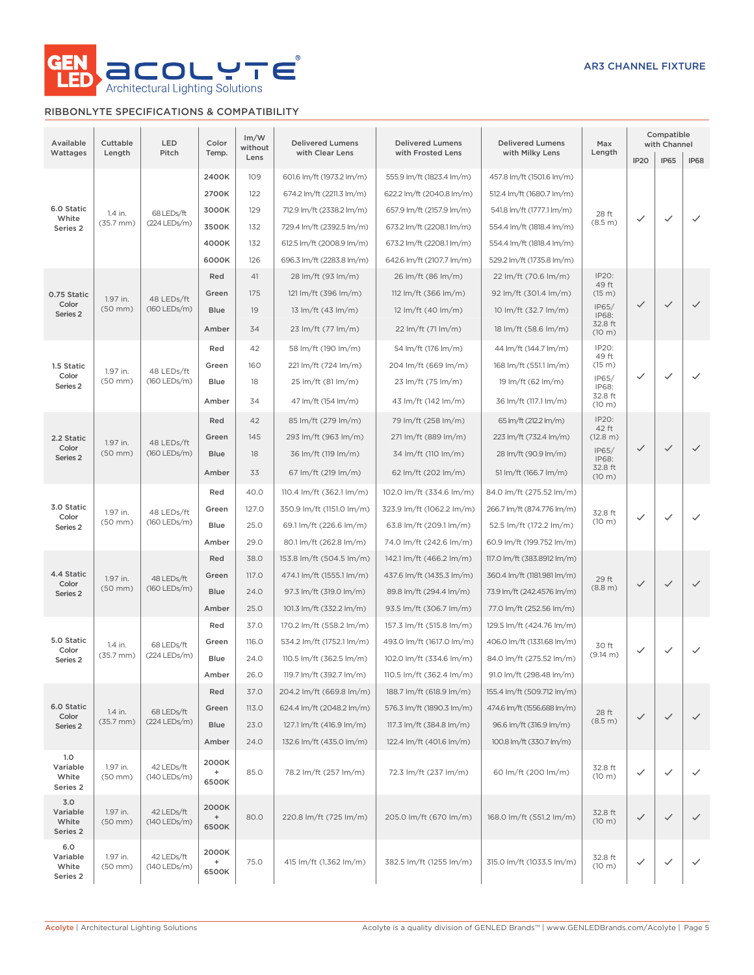

## RIBBONLYTE SPECIFICATIONS & COMPATIBILITY

| Available<br>Wattages                           | Cuttable<br>Length               | LED<br>Pitch                 | Color<br>Temp.                                                                     | Im/W<br>without<br>Lens | <b>Delivered Lumens</b><br>with Clear Lens | <b>Delivered Lumens</b><br>with Frosted Lens         | <b>Delivered Lumens</b><br>with Milky Lens | Max<br>Length        | IP <sub>20</sub>      | Compatible<br>with Channel<br><b>IP65</b> | IP68         |              |              |       |       |                           |                           |                             |                        |                          |                          |                             |                         |                         |        |              |   |
|-------------------------------------------------|----------------------------------|------------------------------|------------------------------------------------------------------------------------|-------------------------|--------------------------------------------|------------------------------------------------------|--------------------------------------------|----------------------|-----------------------|-------------------------------------------|--------------|--------------|--------------|-------|-------|---------------------------|---------------------------|-----------------------------|------------------------|--------------------------|--------------------------|-----------------------------|-------------------------|-------------------------|--------|--------------|---|
|                                                 |                                  |                              | 2400K                                                                              | 109                     | 601.6 lm/ft (1973.2 lm/m)                  | 555.9 lm/ft (1823.4 lm/m)                            | 457.8 lm/ft (1501.6 lm/m)                  |                      |                       |                                           |              |              |              |       |       |                           |                           |                             |                        |                          |                          |                             |                         |                         |        |              |   |
|                                                 |                                  |                              | 2700K                                                                              | 122                     | 674.2 lm/ft (2211.3 lm/m)                  | 622.2 lm/ft (2040.8 lm/m)                            | 512.4 lm/ft (1680.7 lm/m)                  |                      |                       |                                           |              |              |              |       |       |                           |                           |                             |                        |                          |                          |                             |                         |                         |        |              |   |
| 6.0 Static                                      |                                  |                              | 3000K                                                                              | 129                     | 712.9 lm/ft (2338.2 lm/m)                  | 657.9 lm/ft (2157.9 lm/m)                            | 541.8 lm/ft (1777.1 lm/m)                  |                      |                       |                                           |              |              |              |       |       |                           |                           |                             |                        |                          |                          |                             |                         |                         |        |              |   |
| White                                           | 1.4 in.<br>(35.7 mm)             | 68 LEDs/ft<br>$(224$ LEDs/m) | 3500K                                                                              | 132                     | 729.4 lm/ft (2392.5 lm/m)                  | 673.2 lm/ft (2208.1 lm/m)                            | 554.4 lm/ft (1818.4 lm/m)                  | 28 ft<br>(8.5 m)     | ✓                     | ✓                                         | $\checkmark$ |              |              |       |       |                           |                           |                             |                        |                          |                          |                             |                         |                         |        |              |   |
| Series 2                                        |                                  |                              |                                                                                    |                         |                                            |                                                      |                                            |                      |                       |                                           |              |              |              |       |       |                           |                           |                             |                        |                          |                          |                             |                         |                         |        |              |   |
|                                                 |                                  |                              | 4000K                                                                              | 132                     | 612.5 lm/ft (2008.9 lm/m)                  | 673.2 lm/ft (2208.1 lm/m)                            | 554.4 lm/ft (1818.4 lm/m)                  |                      |                       |                                           |              |              |              |       |       |                           |                           |                             |                        |                          |                          |                             |                         |                         |        |              |   |
|                                                 |                                  |                              | 6000K                                                                              | 126                     | 696.3 lm/ft (2283.8 lm/m)                  | 642.6 lm/ft (2107.7 lm/m)                            | 529.2 lm/ft (1735.8 lm/m)                  |                      |                       |                                           |              |              |              |       |       |                           |                           |                             |                        |                          |                          |                             |                         |                         |        |              |   |
|                                                 |                                  |                              | Red                                                                                | 41                      | 28 lm/ft (93 lm/m)                         | 26 lm/ft (86 lm/m)                                   | 22 lm/ft (70.6 lm/m)                       | IP20:<br>49 ft       |                       |                                           |              |              |              |       |       |                           |                           |                             |                        |                          |                          |                             |                         |                         |        |              |   |
| 0.75 Static<br>Color                            | 1.97 in.                         | 48 LEDs/ft                   |                                                                                    |                         | Green                                      | 175                                                  | 121 lm/ft (396 lm/m)                       | 112 lm/ft (366 lm/m) | 92 lm/ft (301.4 lm/m) | (15 m)<br>IP65/                           | $\checkmark$ | $\checkmark$ | $\checkmark$ |       |       |                           |                           |                             |                        |                          |                          |                             |                         |                         |        |              |   |
| Series 2                                        | $(50$ mm $)$                     | $(160$ LEDs/m)               | <b>Blue</b>                                                                        | 19                      | 13 lm/ft (43 lm/m)                         | 12 lm/ft (40 lm/m)                                   | 10 lm/ft (32.7 lm/m)                       | IP68:<br>32.8 ft     |                       |                                           |              |              |              |       |       |                           |                           |                             |                        |                          |                          |                             |                         |                         |        |              |   |
|                                                 |                                  |                              | Amber                                                                              | 34                      | 23 lm/ft (77 lm/m)                         | 22 lm/ft (71 lm/m)<br>18 lm/ft (58.6 lm/m)<br>(10 m) |                                            |                      |                       |                                           |              |              |              |       |       |                           |                           |                             |                        |                          |                          |                             |                         |                         |        |              |   |
|                                                 |                                  |                              | Red                                                                                | 42                      | 58 lm/ft (190 lm/m)                        | 54 lm/ft (176 lm/m)                                  | 44 lm/ft (144.7 lm/m)                      | IP20:<br>49 ft       |                       |                                           |              |              |              |       |       |                           |                           |                             |                        |                          |                          |                             |                         |                         |        |              |   |
| 1.5 Static                                      | 1.97 in.                         | 48 LEDs/ft                   | Green                                                                              | 160                     | 221 lm/ft (724 lm/m)                       | 204 lm/ft (669 lm/m)                                 | 168 lm/ft (551.1 lm/m)                     | (15 m)               |                       |                                           |              |              |              |       |       |                           |                           |                             |                        |                          |                          |                             |                         |                         |        |              |   |
| Color<br>Series <sub>2</sub>                    | $(50$ mm $)$                     | $(160$ LEDs/m)               | Blue                                                                               | 18                      | 25 lm/ft (81 lm/m)                         | 23 lm/ft (75 lm/m)                                   | 19 lm/ft (62 lm/m)                         | IP65/<br>IP68:       | $\checkmark$          | ✓                                         | $\checkmark$ |              |              |       |       |                           |                           |                             |                        |                          |                          |                             |                         |                         |        |              |   |
|                                                 |                                  |                              | Amber                                                                              | 34                      | 47 lm/ft (154 lm/m)                        | 43 lm/ft (142 lm/m)                                  | 36 lm/ft (117.1 lm/m)                      | 32.8 ft<br>(10 m)    |                       |                                           |              |              |              |       |       |                           |                           |                             |                        |                          |                          |                             |                         |                         |        |              |   |
|                                                 |                                  |                              | Red                                                                                | 42                      | 85 lm/ft (279 lm/m)                        | 79 lm/ft (258 lm/m)                                  | 65 lm/ft (212.2 lm/m)                      | IP20:<br>42 ft       |                       |                                           |              |              |              |       |       |                           |                           |                             |                        |                          |                          |                             |                         |                         |        |              |   |
| 2.2 Static                                      | 1.97 in.                         | 48 LEDs/ft<br>$(160$ LEDs/m) |                                                                                    |                         |                                            |                                                      |                                            |                      |                       |                                           |              |              |              |       | Green | 145                       | 293 lm/ft (963 lm/m)      | 271 lm/ft (889 lm/m)        | 223 lm/ft (732.4 lm/m) | (12.8 m)                 |                          |                             |                         |                         |        |              |   |
| Color<br>Series 2                               | $(50$ mm $)$                     |                              |                                                                                    |                         | <b>Blue</b>                                | 18                                                   | 36 lm/ft (119 lm/m)                        | 34 lm/ft (110 lm/m)  | 28 lm/ft (90.9 lm/m)  | IP65/<br>IP68:                            | $\checkmark$ | $\checkmark$ | $\checkmark$ |       |       |                           |                           |                             |                        |                          |                          |                             |                         |                         |        |              |   |
|                                                 |                                  |                              | 67 lm/ft (219 lm/m)<br>62 lm/ft (202 lm/m)<br>51 lm/ft (166.7 lm/m)<br>Amber<br>33 |                         |                                            | 32.8 ft<br>(10 m)                                    |                                            |                      |                       |                                           |              |              |              |       |       |                           |                           |                             |                        |                          |                          |                             |                         |                         |        |              |   |
|                                                 |                                  |                              | Red                                                                                | 40.0                    | 110.4 lm/ft (362.1 lm/m)                   | 102.0 lm/ft (334.6 lm/m)                             | 84.0 lm/ft (275.52 lm/m)                   |                      |                       |                                           |              |              |              |       |       |                           |                           |                             |                        |                          |                          |                             |                         |                         |        |              |   |
| 3.0 Static                                      | 1.97 in.<br>$(50$ mm $)$         | 48 LEDs/ft                   | Green                                                                              | 127.0                   | 350.9 lm/ft (1151.0 lm/m)                  | 323.9 lm/ft (1062.2 lm/m)                            | 266.7 lm/ft (874.776 lm/m)                 | 32.8 ft              |                       |                                           |              |              |              |       |       |                           |                           |                             |                        |                          |                          |                             |                         |                         |        |              |   |
| Color<br>Series <sub>2</sub>                    |                                  | (160 LEDs/m)                 |                                                                                    |                         |                                            |                                                      |                                            |                      |                       |                                           |              |              |              |       |       |                           |                           |                             |                        | Blue                     | 25.0                     | 69.1 lm/ft (226.6 lm/m)     | 63.8 lm/ft (209.1 lm/m) | 52.5 lm/ft (172.2 lm/m) | (10 m) | $\checkmark$ | ✓ |
|                                                 |                                  |                              | Amber                                                                              | 29.0                    | 80.1 lm/ft (262.8 lm/m)                    | 74.0 lm/ft (242.6 lm/m)                              | 60.9 lm/ft (199.752 lm/m)                  |                      |                       |                                           |              |              |              |       |       |                           |                           |                             |                        |                          |                          |                             |                         |                         |        |              |   |
|                                                 |                                  |                              |                                                                                    |                         |                                            |                                                      |                                            |                      |                       |                                           |              |              |              |       |       |                           |                           | Red                         | 38.0                   | 153.8 lm/ft (504.5 lm/m) | 142.1 lm/ft (466.2 lm/m) | 117.0 lm/ft (383.8912 lm/m) |                         |                         |        |              |   |
| 4.4 Static                                      | 1.97 in.                         | 48 LEDs/ft<br>$(160$ LEDs/m) |                                                                                    |                         |                                            |                                                      |                                            |                      |                       |                                           |              |              |              | Green | 117.0 | 474.1 lm/ft (1555.1 lm/m) | 437.6 lm/ft (1435.3 lm/m) | 360.4 lm/ft (1181.981 lm/m) | 29 ft                  |                          |                          |                             |                         |                         |        |              |   |
| Color<br>Series 2                               | $(50$ mm $)$                     |                              | <b>Blue</b>                                                                        | 24.0                    | 97.3 lm/ft (319.0 lm/m)                    | 89.8 lm/ft (294.4 lm/m)                              | 73.9 lm/ft (242.4576 lm/m)                 | (8.8 m)              | $\checkmark$          | $\checkmark$                              | $\checkmark$ |              |              |       |       |                           |                           |                             |                        |                          |                          |                             |                         |                         |        |              |   |
|                                                 |                                  |                              | Amber                                                                              | 25.0                    | 101.3 lm/ft (332.2 lm/m)                   | 93.5 lm/ft (306.7 lm/m)                              | 77.0 lm/ft (252.56 lm/m)                   |                      |                       |                                           |              |              |              |       |       |                           |                           |                             |                        |                          |                          |                             |                         |                         |        |              |   |
|                                                 |                                  |                              | Red                                                                                | 37.0                    | 170.2 lm/ft (558.2 lm/m)                   | 157.3 lm/ft (515.8 lm/m)                             | 129.5 lm/ft (424.76 lm/m)                  |                      |                       |                                           |              |              |              |       |       |                           |                           |                             |                        |                          |                          |                             |                         |                         |        |              |   |
| 5.0 Static                                      | 1.4 in.                          | 68 LEDs/ft                   | Green                                                                              | 116.0                   | 534.2 lm/ft (1752.1 lm/m)                  | 493.0 lm/ft (1617.0 lm/m)                            | 406.0 lm/ft (1331.68 lm/m)                 | 30 ft                |                       |                                           |              |              |              |       |       |                           |                           |                             |                        |                          |                          |                             |                         |                         |        |              |   |
| Color<br>Series <sub>2</sub>                    | $(35.7 \text{ mm})$              | (224 LEDs/m)                 | Blue                                                                               | 24.0                    | 110.5 lm/ft (362.5 lm/m)                   | 102.0 lm/ft (334.6 lm/m)                             | 84.0 lm/ft (275.52 lm/m)                   | (9.14 m)             | $\checkmark$          | ✓                                         | $\checkmark$ |              |              |       |       |                           |                           |                             |                        |                          |                          |                             |                         |                         |        |              |   |
|                                                 |                                  |                              | Amber                                                                              | 26.0                    | 119.7 lm/ft (392.7 lm/m)                   | 110.5 lm/ft (362.4 lm/m)                             | 91.0 lm/ft (298.48 lm/m)                   |                      |                       |                                           |              |              |              |       |       |                           |                           |                             |                        |                          |                          |                             |                         |                         |        |              |   |
|                                                 |                                  |                              | Red                                                                                | 37.0                    | 204.2 lm/ft (669.8 lm/m)                   | 188.7 lm/ft (618.9 lm/m)                             | 155.4 lm/ft (509.712 lm/m)                 |                      |                       |                                           |              |              |              |       |       |                           |                           |                             |                        |                          |                          |                             |                         |                         |        |              |   |
| 6.0 Static                                      |                                  | 68 LEDs/ft                   | Green                                                                              | 113.0                   | 624.4 lm/ft (2048.2 lm/m)                  | 576.3 lm/ft (1890.3 lm/m)                            | 474.6 lm/ft (1556.688 lm/m)                |                      |                       |                                           |              |              |              |       |       |                           |                           |                             |                        |                          |                          |                             |                         |                         |        |              |   |
| Color<br>Series 2                               | 1.4 in.<br>$(35.7 \, \text{mm})$ | (224 LEDs/m)                 | <b>Blue</b>                                                                        | 23.0                    | 127.1 lm/ft (416.9 lm/m)                   | 117.3 lm/ft (384.8 lm/m)                             | 96.6 lm/ft (316.9 lm/m)                    | 28 ft<br>(8.5 m)     | $\checkmark$          | $\checkmark$                              | $\checkmark$ |              |              |       |       |                           |                           |                             |                        |                          |                          |                             |                         |                         |        |              |   |
|                                                 |                                  |                              | Amber                                                                              | 24.0                    | 132.6 lm/ft (435.0 lm/m)                   | 122.4 lm/ft (401.6 lm/m)                             | 100.8 lm/ft (330.7 lm/m)                   |                      |                       |                                           |              |              |              |       |       |                           |                           |                             |                        |                          |                          |                             |                         |                         |        |              |   |
| 1.0<br>Variable                                 | 1.97 in.                         | 42 LEDs/ft                   | 2000K<br>$\begin{array}{c} + \end{array}$                                          | 85.0                    |                                            |                                                      | 60 lm/ft (200 lm/m)                        | 32.8 ft              | $\checkmark$          | $\checkmark$                              | $\checkmark$ |              |              |       |       |                           |                           |                             |                        |                          |                          |                             |                         |                         |        |              |   |
| White<br>Series 2                               | (50 mm)                          | (140 LEDs/m)                 | 6500K                                                                              |                         | 78.2 lm/ft (257 lm/m)                      | 72.3 lm/ft (237 lm/m)                                |                                            | (10 m)               |                       |                                           |              |              |              |       |       |                           |                           |                             |                        |                          |                          |                             |                         |                         |        |              |   |
| 3.0<br>Variable<br>White<br>Series <sub>2</sub> | 1.97 in.<br>(50 mm)              | 42 LEDs/ft<br>(140 LEDs/m)   | 2000K<br>$^{\mathrm{+}}$<br>6500K                                                  | 80.0                    | 220.8 lm/ft (725 lm/m)                     | 205.0 lm/ft (670 lm/m)                               | 168.0 lm/ft (551.2 lm/m)                   | 32.8 ft<br>(10 m)    | $\checkmark$          | $\checkmark$                              | $\checkmark$ |              |              |       |       |                           |                           |                             |                        |                          |                          |                             |                         |                         |        |              |   |
| 6.0<br>Variable<br>White<br>Series 2            | 1.97 in.<br>$(50$ mm $)$         | 42 LEDs/ft<br>(140 LEDs/m)   | 2000K<br>$\begin{array}{c} + \end{array}$<br>6500K                                 | 75.0                    | 415 lm/ft (1,362 lm/m)                     | 382.5 lm/ft (1255 lm/m)                              | 315.0 lm/ft (1033.5 lm/m)                  | 32.8 ft<br>(10 m)    | $\checkmark$          | ✓                                         | ✓            |              |              |       |       |                           |                           |                             |                        |                          |                          |                             |                         |                         |        |              |   |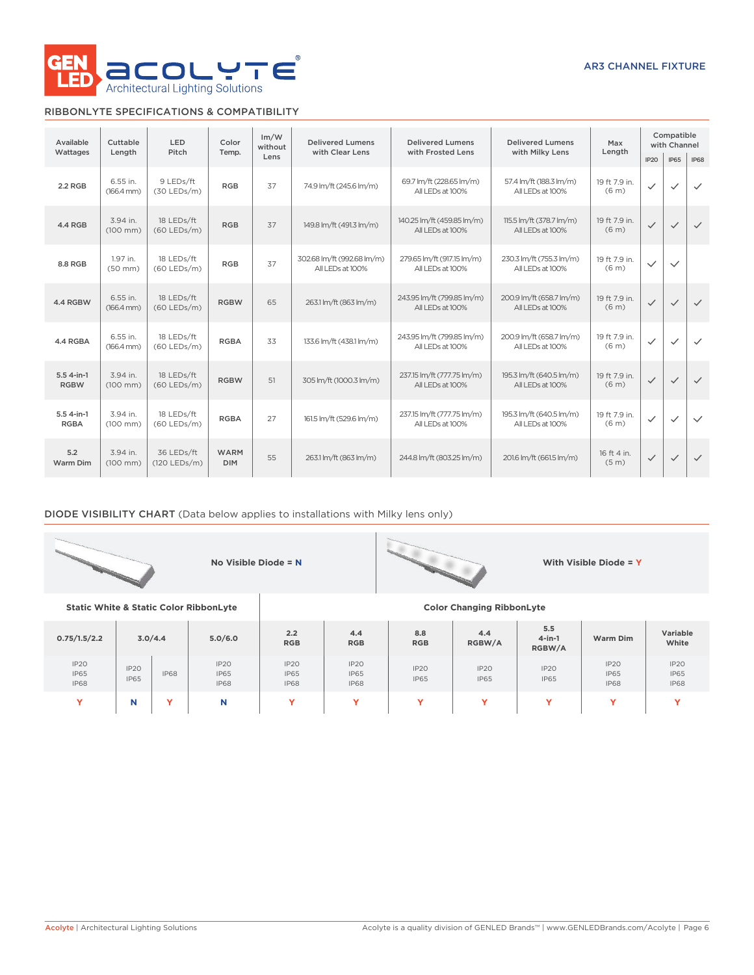

## RIBBONLYTE SPECIFICATIONS & COMPATIBILITY

| Available                   | <b>LED</b><br>Cuttable<br>Pitch<br>Wattages<br>Lenath |                             | Color                     | Im/W<br>without | <b>Delivered Lumens</b><br>with Clear Lens     | <b>Delivered Lumens</b><br>with Frosted Lens                                                   | <b>Delivered Lumens</b><br>with Milky Lens   | Max<br>Length                      | Compatible<br>with Channel |              |              |
|-----------------------------|-------------------------------------------------------|-----------------------------|---------------------------|-----------------|------------------------------------------------|------------------------------------------------------------------------------------------------|----------------------------------------------|------------------------------------|----------------------------|--------------|--------------|
|                             |                                                       |                             | Temp.                     | Lens            |                                                |                                                                                                |                                              |                                    |                            | <b>IP65</b>  | <b>IP68</b>  |
| 2.2 RGB                     | 6.55 in.<br>$(166.4 \, \text{mm})$                    | 9 LEDs/ft<br>$(30$ LEDs/m)  | <b>RGB</b>                | 37              | 74.9 lm/ft (245.6 lm/m)                        | 69.7 lm/ft (228.65 lm/m)<br>All LEDs at 100%                                                   | 57.4 lm/ft (188.3 lm/m)<br>All LEDs at 100%  |                                    | $\checkmark$               | $\checkmark$ | $\checkmark$ |
| 4.4 RGB                     | 3.94 in.<br>$(100 \, \text{mm})$                      | 18 LEDs/ft<br>$(60$ LEDs/m) | <b>RGB</b>                | 37              | 149.8 lm/ft (491.3 lm/m)                       | 140.25 lm/ft (459.85 lm/m)<br>All LEDs at 100%                                                 | 115.5 lm/ft (378.7 lm/m)<br>All LEDs at 100% |                                    | $\checkmark$               | $\checkmark$ | $\checkmark$ |
| 8.8 RGB                     | 1.97 in.<br>$(50$ mm $)$                              | 18 LEDs/ft<br>$(60$ LEDs/m) | <b>RGB</b>                | 37              | 302.68 lm/ft (992.68 lm/m)<br>All LEDs at 100% | 279.65 lm/ft (917.15 lm/m)<br>230.3 lm/ft (755.3 lm/m)<br>All LEDs at 100%<br>All LEDs at 100% |                                              | 19 ft 7.9 in.<br>(6 <sub>m</sub> ) | $\checkmark$               | $\checkmark$ |              |
| 4.4 RGBW                    | 6.55 in.<br>$(166.4 \, \text{mm})$                    | 18 LEDs/ft<br>$(60$ LEDs/m) | <b>RGBW</b>               | 65              | 263.1 lm/ft (863 lm/m)                         | 243.95 lm/ft (799.85 lm/m)<br>All LEDs at 100%                                                 | 200.9 lm/ft (658.7 lm/m)<br>All LEDs at 100% | 19 ft 7.9 in.<br>(6 <sub>m</sub> ) | $\checkmark$               | $\checkmark$ | $\checkmark$ |
| 4.4 RGBA                    | 6.55 in.<br>$(166.4 \, \text{mm})$                    | 18 LEDs/ft<br>$(60$ LEDs/m) | <b>RGBA</b>               | 33              | 133.6 lm/ft (438.1 lm/m)                       | 243.95 lm/ft (799.85 lm/m)<br>All LEDs at 100%                                                 | 200.9 lm/ft (658.7 lm/m)<br>All LEDs at 100% | 19 ft 7.9 in.<br>(6 <sub>m</sub> ) | $\checkmark$               | $\checkmark$ | $\checkmark$ |
| $5.54$ -in-1<br><b>RGBW</b> | 3.94 in.<br>$(100 \, \text{mm})$                      | 18 LEDs/ft<br>$(60$ LEDs/m) | <b>RGBW</b>               | 51              | 305 lm/ft (1000.3 lm/m)                        | 237.15 lm/ft (777.75 lm/m)<br>195.3 lm/ft (640.5 lm/m)<br>All LEDs at 100%<br>All LEDs at 100% |                                              | 19 ft 7.9 in.<br>(6 <sub>m</sub> ) | $\checkmark$               | $\checkmark$ | $\checkmark$ |
| $5.54-in-1$<br><b>RGBA</b>  | 3.94 in.<br>$(100 \, \text{mm})$                      | 18 LEDs/ft<br>$(60$ LEDs/m) | <b>RGBA</b>               | 27              | 161.5 lm/ft (529.6 lm/m)                       | 237.15 lm/ft (777.75 lm/m)<br>All LEDs at 100%                                                 | 195.3 lm/ft (640.5 lm/m)<br>All LEDs at 100% | 19 ft 7.9 in.<br>(6 <sub>m</sub> ) | $\checkmark$               | $\checkmark$ | $\checkmark$ |
| 5.2<br>Warm Dim             | 3.94 in.<br>$(100 \, \text{mm})$                      | 36 LEDs/ft<br>(120 LEDs/m)  | <b>WARM</b><br><b>DIM</b> | 55              | 263.1 lm/ft (863 lm/m)                         | 244.8 lm/ft (803.25 lm/m)                                                                      | 201.6 lm/ft (661.5 lm/m)                     | 16 ft 4 in.<br>(5 <sub>m</sub> )   | $\checkmark$               | $\checkmark$ | $\checkmark$ |

## DIODE VISIBILITY CHART (Data below applies to installations with Milky lens only)

|                                                   |                     |                                                   | No Visible Diode = $N$ |                                    |                                    |                     |                                  |                            | With Visible Diode = $Y$           |                                    |
|---------------------------------------------------|---------------------|---------------------------------------------------|------------------------|------------------------------------|------------------------------------|---------------------|----------------------------------|----------------------------|------------------------------------|------------------------------------|
| <b>Static White &amp; Static Color RibbonLyte</b> |                     |                                                   |                        |                                    |                                    |                     | <b>Color Changing RibbonLyte</b> |                            |                                    |                                    |
| 0.75/1.5/2.2                                      | 3.0/4.4             |                                                   | 5.0/6.0                | 2.2<br><b>RGB</b>                  | 4.4<br><b>RGB</b>                  | 8.8<br><b>RGB</b>   | 4.4<br>RGBW/A                    | 5.5<br>$4$ -in-1<br>RGBW/A | Warm Dim                           | Variable<br>White                  |
| IP20<br><b>IP65</b><br><b>IP68</b>                | IP2O<br><b>IP65</b> | IP2O<br><b>IP68</b><br><b>IP65</b><br><b>IP68</b> |                        | IP20<br><b>IP65</b><br><b>IP68</b> | IP2O<br><b>IP65</b><br><b>IP68</b> | IP2O<br><b>IP65</b> | IP20<br><b>IP65</b>              | IP2O<br><b>IP65</b>        | IP20<br><b>IP65</b><br><b>IP68</b> | IP2O<br><b>IP65</b><br><b>IP68</b> |

**Y N Y N Y Y Y Y Y Y Y**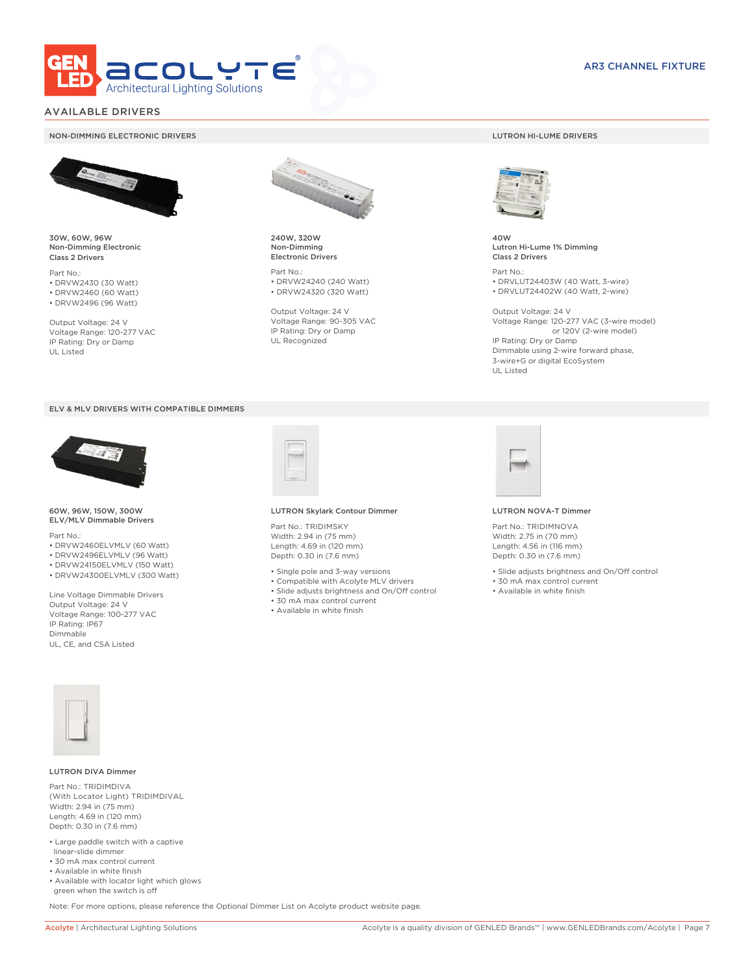

### AVAILABLE DRIVERS

#### NON-DIMMING ELECTRONIC DRIVERS LUTRON HI-LUME DRIVERS



30W, 60W, 96W Non-Dimming Electronic Class 2 Drivers

Part No.: • DRVW2430 (30 Watt) • DRVW2460 (60 Watt)

• DRVW2496 (96 Watt)

Output Voltage: 24 V Voltage Range: 120-277 VAC IP Rating: Dry or Damp UL Listed





60W, 96W, 150W, 300W ELV/MLV Dimmable Drivers

Part No.:

- DRVW2460ELVMLV (60 Watt)
- DRVW2496ELVMLV (96 Watt) • DRVW24150ELVMLV (150 Watt)
- DRVW24300ELVMLV (300 Watt)
- 

Line Voltage Dimmable Drivers Output Voltage: 24 V Voltage Range: 100-277 VAC IP Rating: IP67 Dimmable UL, CE, and CSA Listed



240W, 320W Non-Dimming Electronic Drivers

Part No.: • DRVW24240 (240 Watt) • DRVW24320 (320 Watt)

Output Voltage: 24 V Voltage Range: 90-305 VAC IP Rating: Dry or Damp UL Recognized



40W Lutron Hi-Lume 1% Dimming Class 2 Drivers

Part No.: • DRVLUT24403W (40 Watt, 3-wire) • DRVLUT24402W (40 Watt, 2-wire)

Output Voltage: 24 V Voltage Range: 120-277 VAC (3-wire model) or 120V (2-wire model) IP Rating: Dry or Damp Dimmable using 2-wire forward phase, 3-wire+G or digital EcoSystem UL Listed



#### LUTRON Skylark Contour Dimmer

Part No.: TRIDIMSKY Width: 2.94 in (75 mm) Length: 4.69 in (120 mm) Depth: 0.30 in (7.6 mm)

- Single pole and 3-way versions
- Compatible with Acolyte MLV drivers
- Slide adjusts brightness and On/Off control
- 30 mA max control current
- Available in white finish



#### LUTRON NOVA-T Dimmer

Part No.: TRIDIMNOVA Width: 2.75 in (70 mm) Length: 4.56 in (116 mm) Depth: 0.30 in (7.6 mm)

- Slide adjusts brightness and On/Off control
- 30 mA max control current
- Available in white finish



#### LUTRON DIVA Dimmer

Part No.: TRIDIMDIVA (With Locator Light) TRIDIMDIVAL Width: 2.94 in (75 mm) Length: 4.69 in (120 mm) Depth: 0.30 in (7.6 mm)

- Large paddle switch with a captive linear-slide dimmer
- 30 mA max control current
- Available in white finish
- Available with locator light which glows green when the switch is off

Note: For more options, please reference the Optional Dimmer List on Acolyte product website page.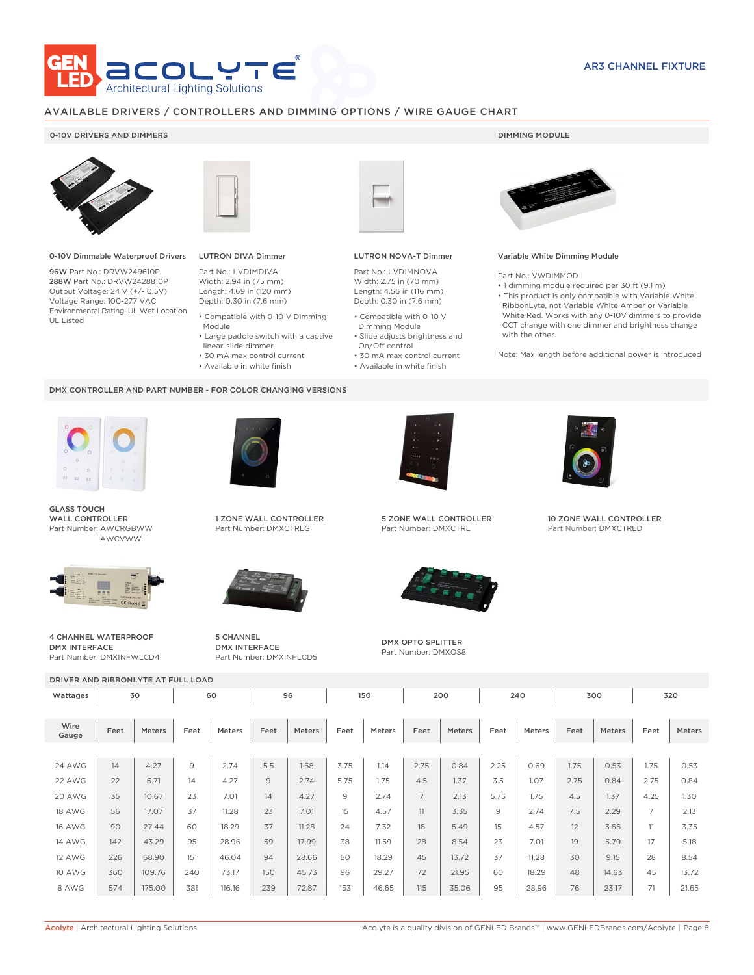

### AVAILABLE DRIVERS / CONTROLLERS AND DIMMING OPTIONS / WIRE GAUGE CHART

### 0-10V DRIVERS AND DIMMERS **DIMMING MODULE**



0-10V Dimmable Waterproof Drivers

96W Part No.: DRVW249610P 288W Part No.: DRVW2428810P Output Voltage: 24 V (+/- 0.5V) Voltage Range: 100-277 VAC Environmental Rating: UL Wet Location UL Listed



## LUTRON DIVA Dimmer

Part No.: LVDIMDIVA Width: 2.94 in (75 mm) Length: 4.69 in (120 mm) Depth: 0.30 in (7.6 mm)

- Compatible with 0-10 V Dimming Module
- Large paddle switch with a captive
- linear-slide dimmer • 30 mA max control current
- 
- Available in white finish

#### DMX CONTROLLER AND PART NUMBER - FOR COLOR CHANGING VERSIONS



GLASS TOUCH WALL CONTROLLER Part Number: AWCRGBWW AWCVWW



4 CHANNEL WATERPROOF DMX INTERFACE Part Number: DMXINFWLCD4



1 ZONE WALL CONTROLLER Part Number: DMXCTRLG



5 CHANNEL DMX INTERFACE Part Number: DMXINFLCD5



### LUTRON NOVA-T Dimmer

Part No.: LVDIMNOVA Width: 2.75 in (70 mm) Length: 4.56 in (116 mm) Depth: 0.30 in (7.6 mm)

- Compatible with 0-10 V Dimming Module
- Slide adjusts brightness and On/Off control
- 30 mA max control current • Available in white finish



#### Variable White Dimming Module

Part No.: VWDIMMOD

- 1 dimming module required per 30 ft (9.1 m)
- This product is only compatible with Variable White RibbonLyte, not Variable White Amber or Variable White Red. Works with any 0-10V dimmers to provide CCT change with one dimmer and brightness change with the other.

Note: Max length before additional power is introduced



5 ZONE WALL CONTROLLER Part Number: DMXCTRL



DMX OPTO SPLITTER Part Number: DMXOS8



10 ZONE WALL CONTROLLER Part Number: DMXCTRLD

| DRIVER AND RIBBONLYTE AT FULL LOAD |      |               |                |               |      |        |      |               |                |               |      |               |      |               |                |        |
|------------------------------------|------|---------------|----------------|---------------|------|--------|------|---------------|----------------|---------------|------|---------------|------|---------------|----------------|--------|
| Wattages                           |      | 60<br>30      |                |               |      | 96     |      | 150           |                | 200           | 240  |               | 300  |               | 320            |        |
|                                    |      |               |                |               |      |        |      |               |                |               |      |               |      |               |                |        |
| Wire<br>Gauge                      | Feet | <b>Meters</b> | Feet           | <b>Meters</b> | Feet | Meters | Feet | <b>Meters</b> | Feet           | <b>Meters</b> | Feet | <b>Meters</b> | Feet | <b>Meters</b> | Feet           | Meters |
|                                    |      |               |                |               |      |        |      |               |                |               |      |               |      |               |                |        |
| <b>24 AWG</b>                      | 14   | 4.27          | $\overline{9}$ | 2.74          | 5.5  | 1.68   | 3.75 | 1.14          | 2.75           | 0.84          | 2.25 | 0.69          | 1.75 | 0.53          | 1.75           | 0.53   |
| 22 AWG                             | 22   | 6.71          | 14             | 4.27          | 9    | 2.74   | 5.75 | 1.75          | 4.5            | 1.37          | 3.5  | 1.07          | 2.75 | 0.84          | 2.75           | 0.84   |
| 20 AWG                             | 35   | 10.67         | 23             | 7.01          | 14   | 4.27   | 9    | 2.74          | $\overline{7}$ | 2.13          | 5.75 | 1.75          | 4.5  | 1.37          | 4.25           | 1.30   |
| <b>18 AWG</b>                      | 56   | 17.07         | 37             | 11.28         | 23   | 7.01   | 15   | 4.57          | 11             | 3.35          | 9    | 2.74          | 7.5  | 2.29          | $\overline{7}$ | 2.13   |
| <b>16 AWG</b>                      | 90   | 27.44         | 60             | 18.29         | 37   | 11.28  | 24   | 7.32          | 18             | 5.49          | 15   | 4.57          | 12   | 3.66          | 11             | 3.35   |
| <b>14 AWG</b>                      | 142  | 43.29         | 95             | 28.96         | 59   | 17.99  | 38   | 11.59         | 28             | 8.54          | 23   | 7.01          | 19   | 5.79          | 17             | 5.18   |
| <b>12 AWG</b>                      | 226  | 68.90         | 151            | 46.04         | 94   | 28.66  | 60   | 18.29         | 45             | 13.72         | 37   | 11.28         | 30   | 9.15          | 28             | 8.54   |
| <b>10 AWG</b>                      | 360  | 109.76        | 240            | 73.17         | 150  | 45.73  | 96   | 29.27         | 72             | 21.95         | 60   | 18.29         | 48   | 14.63         | 45             | 13.72  |
| 8 AWG                              | 574  | 175.00        | 381            | 116.16        | 239  | 72.87  | 153  | 46.65         | 115            | 35.06         | 95   | 28.96         | 76   | 23.17         | 71             | 21.65  |